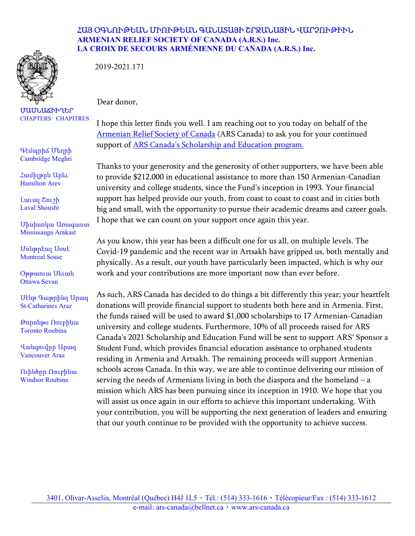

ՄԱՍՆԱՃԻՒՂԵՐ CHAPTERS· CHAPITRES

Գէմպրիճ Մեղրի Cambridge Meghri

Համիլթըն Արեւ Hamilton Arev

Լաւալ Շուշի Laval Shoushi

Միսիսոկա Առագաստ Mississauga Arakast

Մոնթրէալ Սօսէ Montreal Sosse

Օթթաուա Սեւան Ottawa Sevan

Սէնթ Գաթրինզ Արազ St-Catharines Araz

Թորոնթօ Ռուբինա Toronto Roubina

Վանգուվըր Արազ Vancouver Araz

Ուինծըր Ռուբինա Windsor Roubina

## ՀԱՅ ՕԳՆՈՒԹԵԱՆ ՄԻՈՒԹԵԱՆ ԳԱՆԱՏԱՅԻ ՇՐՋԱՆԱՅԻՆ ՎԱՐՉՈՒԹԻՒՆ ARMENIAN RELIEF SOCIETY OF CANADA (A.R.S.) Inc. LA CROIX DE SECOURS ARMÉNIENNE DU CANADA (A.R.S.) Inc.

2019-2021.171

Dear donor,

I hope this letter finds you well. I am reaching out to you today on behalf of the Armenian Relief Society of Canada (ARS Canada) to ask you for your continued support of **ARS Canada's Scholarship and Education program.** 

Thanks to your generosity and the generosity of other supporters, we have been able to provide \$212,000 in educational assistance to more than 150 Armenian-Canadian university and college students, since the Fund's inception in 1993. Your financial support has helped provide our youth, from coast to coast to coast and in cities both big and small, with the opportunity to pursue their academic dreams and career goals. I hope that we can count on your support once again this year.

As you know, this year has been a difficult one for us all, on multiple levels. The Covid-19 pandemic and the recent war in Artsakh have gripped us, both mentally and physically. As a result, our youth have particularly been impacted, which is why our work and your contributions are more important now than ever before.

As such, ARS Canada has decided to do things a bit differently this year; your heartfelt donations will provide financial support to students both here and in Armenia. First, the funds raised will be used to award \$1,000 scholarships to 17 Armenian-Canadian university and college students. Furthermore, 10% of all proceeds raised for ARS Canada's 2021 Scholarship and Education Fund will be sent to support ARS' Sponsor a Student Fund, which provides financial education assistance to orphaned students residing in Armenia and Artsakh. The remaining proceeds will support Armenian schools across Canada. In this way, we are able to continue delivering our mission of serving the needs of Armenians living in both the diaspora and the homeland – a mission which ARS has been pursuing since its inception in 1910. We hope that you will assist us once again in our efforts to achieve this important undertaking. With your contribution, you will be supporting the next generation of leaders and ensuring that our youth continue to be provided with the opportunity to achieve success.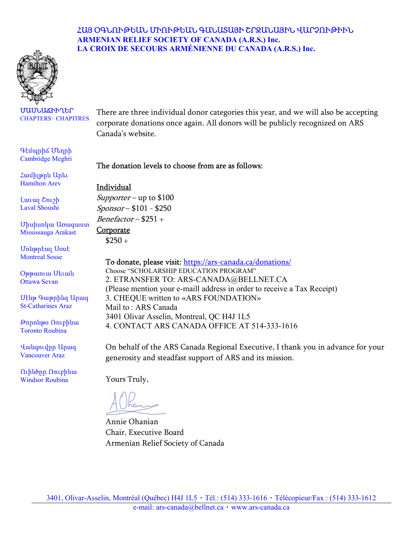## ՀԱՅ ՕԳՆՈՒԹԵԱՆ ՄԻՈՒԹԵԱՆ ԳԱՆԱՏԱՅԻ ՇՐՋԱՆԱՅԻՆ ՎԱՐՉՈՒԹԻՒՆ ARMENIAN RELIEF SOCIETY OF CANADA (A.R.S.) Inc. LA CROIX DE SECOURS ARMÉNIENNE DU CANADA (A.R.S.) Inc.



#### ՄԱՍՆԱՃԻՒՂԵՐ CHAPTERS· CHAPITRES

Գէմպրիճ Մեղրի Cambridge Meghri

Համիլթըն Արեւ Hamilton Arev

Լաւալ Շուշի Laval Shoushi

Միսիսոկա Առագաստ Mississauga Arakast

Մոնթրէալ Սօսէ Montreal Sosse

Օթթաուա Սեւան Ottawa Sevan

Սէնթ Գաթրինզ Արազ St-Catharines Araz

Թորոնթօ Ռուբինա Toronto Roubina

Վանգուվըր Արազ Vancouver Araz

Ուինծըր Ռուբինա Windsor Roubina

There are three individual donor categories this year, and we will also be accepting corporate donations once again. All donors will be publicly recognized on ARS Canada's website.

## The donation levels to choose from are as follows:

### Individual

Supporter – up to  $$100$ Sponsor – \$101 - \$250 Benefactor – \$251 +

#### **Corporate**

 $$250 +$ 

To donate, please visit: https://ars-canada.ca/donations/ Choose "SCHOLARSHIP EDUCATION PROGRAM" 2. ETRANSFER TO: ARS-CANADA@BELLNET.CA (Please mention your e-maill address in order to receive a Tax Receipt) 3. CHEQUE written to «ARS FOUNDATION» Mail to : ARS Canada 3401 Olivar Asselin, Montreal, QC H4J 1L5 4. CONTACT ARS CANADA OFFICE AT 514-333-1616

On behalf of the ARS Canada Regional Executive, I thank you in advance for your generosity and steadfast support of ARS and its mission.

Yours Truly,

Annie Ohanian Chair, Executive Board Armenian Relief Society of Canada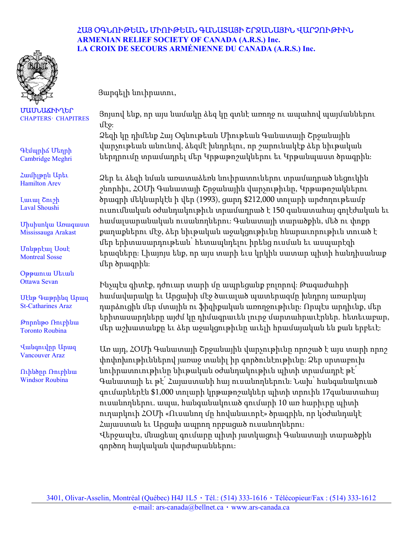

## ՀԱՅ ՕԳՆՈՒԹԵԱՆ ՄԻՈՒԹԵԱՆ ԳԱՆԱՏԱՅԻ ՇՐՋԱՆԱՅԻՆ ՎԱՐՉՈՒԹԻՒՆ ARMENIAN RELIEF SOCIETY OF CANADA (A.R.S.) Inc. LA CROIX DE SECOURS ARMÉNIENNE DU CANADA (A.R.S.) Inc.

Յարգելի նուիրատու,

Յոյսով ենք, որ այս նամակը ձեզ կը գտնէ առողջ ու ապահով պայմաններու մէջ։

Ձեզի կը դիմենք Հայ Օգնութեան Միութեան Գանատայի Շրջանային վարչութեան անունով, ձեզմէ խնդրելու, որ շարունակէք ձեր նիւթական ներդրումը տրամադրել մեր Կրթաթոշակներու եւ Կրթանպաստ ծրագրին։

Ձեր եւ ձեզի նման առատաձեռն նուիրատուներու տրամադրած նեցուկին շնորհիւ, ՀՕՄի Գանատայի Շրջանային վարչութիւնը, Կրթաթոշակներու ծրագրի մեկնարկէն ի վեր (1993), ցարդ \$212,000 տոլարի արժողութեամբ ուսումնական օժանդակութիւն տրամադրած է 150 գանատահայ գոլէժական եւ համալսարանական ուսանողներու։ Գանատայի տարածքին, մեծ ու փոքր քաղաքներու մէջ, ձեր նիւթական աջակցութիւնը հնարաւորութիւն տուած է մեր երիտասարդութեան՝ հետապնդելու իրենց ուսման եւ ասպարէզի երազները։ Լիայոյս ենք, որ այս տարի եւս կրկին սատար պիտի հանդիսանաք մեր ծրագրին։

Ինչպէս գիտէք, դժուար տարի մը ապրեցանք բոլորով։ Թագաժահրի համավարակը եւ Արցախի մէջ ծաւալած պատերազմը խնդրոյ առարկայ դարձուցին մեր մտային ու ֆիզիքական առողջութիւնը։ Որպէս արդիւնք, մեր երիտասարդները այժմ կը դիմագրաւեն լուրջ մարտահրաւէրներ. հետեւաբար, մեր աշխատանքը եւ ձեր աջակցութիւնը աւելի հրամայական են քան երբեւէ։

Առ այդ, ՀՕՄի Գանատայի Շրջանային վարչութիւնը որոշած է այս տարի որոշ փոփոխութիւններով յառաջ տանիլ իր գործունէութիւնը։ Ձեր սրտաբուխ նուիրատուութիւնը նիւթական օժանդակութիւն պիտի տրամադրէ թէ՛ Գանատայի եւ թէ՛ Հայաստանի հայ ուսանողներուն։ Նախ՝ հանգանակուած գումարներէն \$1,000 տոլարի կրթաթոշակներ պիտի տրուին 17գանատահայ ուսանողներու. ապա, հանգանակուած գումարի 10 առ հարիւրը պիտի ուղարկուի ՀՕՄի «Ուսանող մը հովանաւորէ» ծրագրին, որ կօժանդակէ Հայաստան եւ Արցախ ապրող որբացած ուսանողներու։ Վերջապէս, մնացեալ գումարը պիտի յատկացուի Գանատայի տարածքին գործող հայկական վարժարաններու։

ՄԱՍՆԱՃԻՒՂԵՐ CHAPTERS· CHAPITRES

Գէմպրիճ Մեղրի Cambridge Meghri

Համիլթըն Արեւ Hamilton Arev

Լաւալ Շուշի Laval Shoushi

Միսիսոկա Առագաստ Mississauga Arakast

Մոնթրէալ Սօսէ Montreal Sosse

Օթթաուա Սեւան Ottawa Sevan

Սէնթ Գաթրինզ Արազ St-Catharines Araz

Թորոնթօ Ռուբինա Toronto Roubina

Վանգուվըր Արազ Vancouver Araz

Ուինծըր Ռուբինա Windsor Roubina